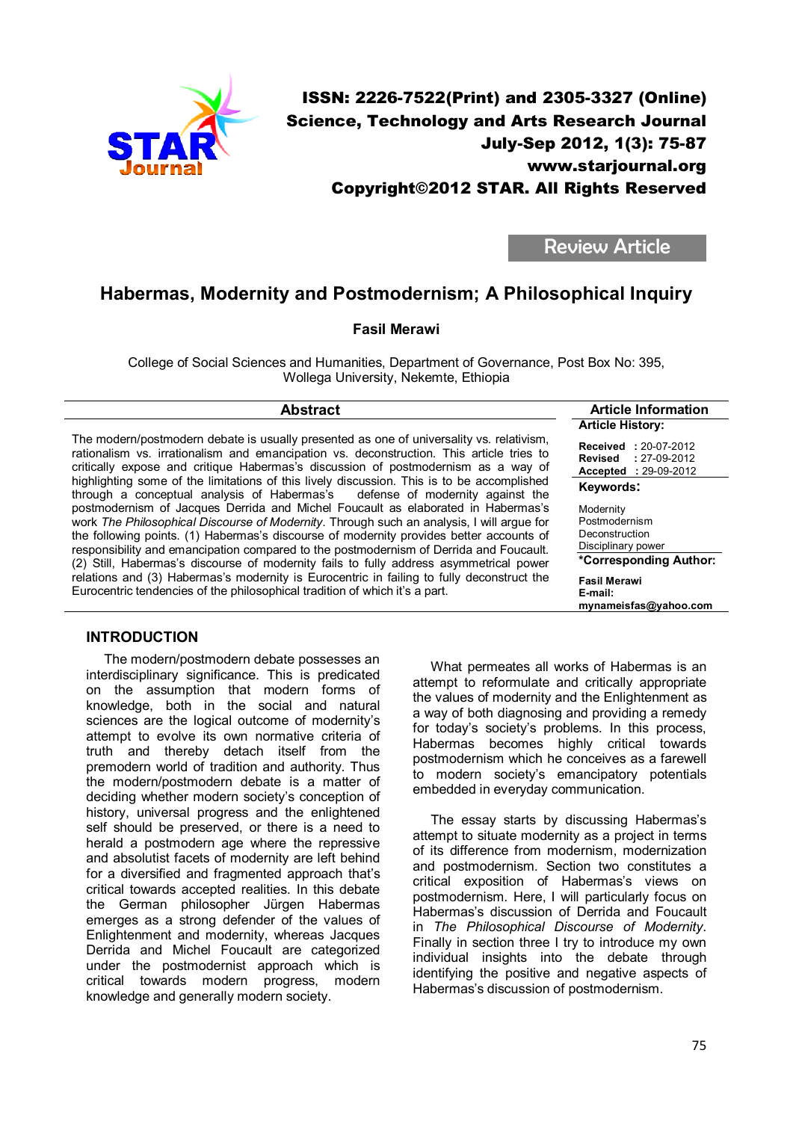

# ISSN: 2226-7522(Print) and 2305-3327 (Online) Science, Technology and Arts Research Journal July-Sep 2012, 1(3): 75-87 www.starjournal.org Copyright©2012 STAR. All Rights Reserved

# Review Article

# Habermas, Modernity and Postmodernism; A Philosophical Inquiry

## Fasil Merawi

College of Social Sciences and Humanities, Department of Governance, Post Box No: 395, Wollega University, Nekemte, Ethiopia

The modern/postmodern debate is usually presented as one of universality vs. relativism, rationalism vs. irrationalism and emancipation vs. deconstruction. This article tries to critically expose and critique Habermas's discussion of postmodernism as a way of highlighting some of the limitations of this lively discussion. This is to be accomplished through a conceptual analysis of Habermas's defense of modernity against the through a conceptual analysis of Habermas's postmodernism of Jacques Derrida and Michel Foucault as elaborated in Habermas's work *The Philosophical Discourse of Modernity*. Through such an analysis, I will argue for the following points. (1) Habermas's discourse of modernity provides better accounts of responsibility and emancipation compared to the postmodernism of Derrida and Foucault. (2) Still, Habermas's discourse of modernity fails to fully address asymmetrical power relations and (3) Habermas's modernity is Eurocentric in failing to fully deconstruct the Eurocentric tendencies of the philosophical tradition of which it's a part.

### Abstract **Abstract** Article Information Article History:

Received : 20-07-2012 Revised : 27-09-2012 Accepted : 29-09-2012 Keywords:

Modernity Postmodernism **Deconstruction** Disciplinary power \*Corresponding Author: Fasil Merawi

E-mail: mynameisfas@yahoo.com

# INTRODUCTION

The modern/postmodern debate possesses an interdisciplinary significance. This is predicated on the assumption that modern forms of knowledge, both in the social and natural sciences are the logical outcome of modernity's attempt to evolve its own normative criteria of truth and thereby detach itself from the premodern world of tradition and authority. Thus the modern/postmodern debate is a matter of deciding whether modern society's conception of history, universal progress and the enlightened self should be preserved, or there is a need to herald a postmodern age where the repressive and absolutist facets of modernity are left behind for a diversified and fragmented approach that's critical towards accepted realities. In this debate the German philosopher Jürgen Habermas emerges as a strong defender of the values of Enlightenment and modernity, whereas Jacques Derrida and Michel Foucault are categorized under the postmodernist approach which is critical towards modern progress, modern knowledge and generally modern society.

What permeates all works of Habermas is an attempt to reformulate and critically appropriate the values of modernity and the Enlightenment as a way of both diagnosing and providing a remedy for today's society's problems. In this process, Habermas becomes highly critical towards postmodernism which he conceives as a farewell to modern society's emancipatory potentials embedded in everyday communication.

The essay starts by discussing Habermas's attempt to situate modernity as a project in terms of its difference from modernism, modernization and postmodernism. Section two constitutes a critical exposition of Habermas's views on postmodernism. Here, I will particularly focus on Habermas's discussion of Derrida and Foucault in *The Philosophical Discourse of Modernity*. Finally in section three I try to introduce my own individual insights into the debate through identifying the positive and negative aspects of Habermas's discussion of postmodernism.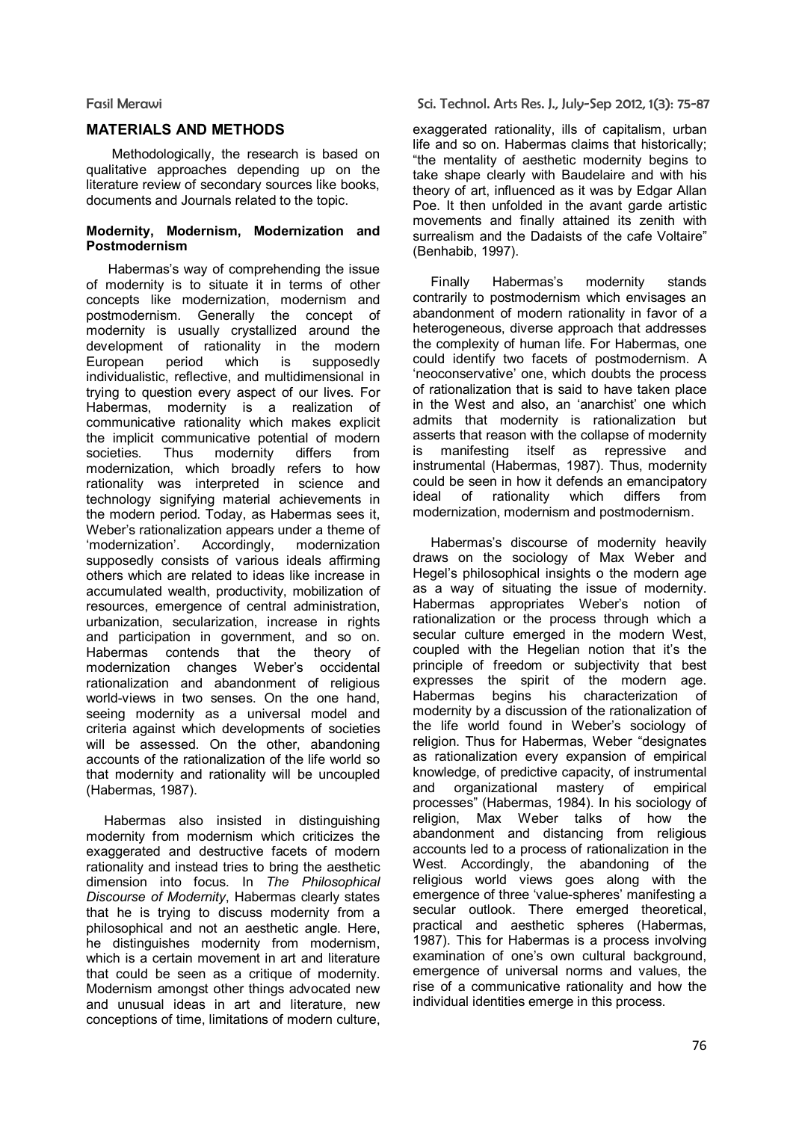### MATERIALS AND METHODS

 Methodologically, the research is based on qualitative approaches depending up on the literature review of secondary sources like books, documents and Journals related to the topic.

### Modernity, Modernism, Modernization and Postmodernism

Habermas's way of comprehending the issue of modernity is to situate it in terms of other concepts like modernization, modernism and postmodernism. Generally the concept of modernity is usually crystallized around the development of rationality in the modern<br>European period which is supposedly European period which is supposedly individualistic, reflective, and multidimensional in trying to question every aspect of our lives. For Habermas, modernity is a realization of communicative rationality which makes explicit the implicit communicative potential of modern societies. Thus modernity differs from modernization, which broadly refers to how rationality was interpreted in science and technology signifying material achievements in the modern period. Today, as Habermas sees it, Weber's rationalization appears under a theme of 'modernization'. Accordingly, modernization supposedly consists of various ideals affirming others which are related to ideas like increase in accumulated wealth, productivity, mobilization of resources, emergence of central administration, urbanization, secularization, increase in rights and participation in government, and so on. Habermas contends that the theory of modernization changes Weber's occidental rationalization and abandonment of religious world-views in two senses. On the one hand, seeing modernity as a universal model and criteria against which developments of societies will be assessed. On the other, abandoning accounts of the rationalization of the life world so that modernity and rationality will be uncoupled (Habermas, 1987).

Habermas also insisted in distinguishing modernity from modernism which criticizes the exaggerated and destructive facets of modern rationality and instead tries to bring the aesthetic dimension into focus. In *The Philosophical Discourse of Modernity*, Habermas clearly states that he is trying to discuss modernity from a philosophical and not an aesthetic angle. Here, he distinguishes modernity from modernism, which is a certain movement in art and literature that could be seen as a critique of modernity. Modernism amongst other things advocated new and unusual ideas in art and literature, new conceptions of time, limitations of modern culture,

Fasil Merawi **Sci. Technol. Arts Res. J., July-Sep 2012**, 1(3): 75-87

exaggerated rationality, ills of capitalism, urban life and so on. Habermas claims that historically; "the mentality of aesthetic modernity begins to take shape clearly with Baudelaire and with his theory of art, influenced as it was by Edgar Allan Poe. It then unfolded in the avant garde artistic movements and finally attained its zenith with surrealism and the Dadaists of the cafe Voltaire" (Benhabib, 1997).

Finally Habermas's modernity stands contrarily to postmodernism which envisages an abandonment of modern rationality in favor of a heterogeneous, diverse approach that addresses the complexity of human life. For Habermas, one could identify two facets of postmodernism. A 'neoconservative' one, which doubts the process of rationalization that is said to have taken place in the West and also, an 'anarchist' one which admits that modernity is rationalization but asserts that reason with the collapse of modernity is manifesting itself as repressive and instrumental (Habermas, 1987). Thus, modernity could be seen in how it defends an emancipatory<br>ideal of rationality which differs from ideal of rationality which differs from modernization, modernism and postmodernism.

Habermas's discourse of modernity heavily draws on the sociology of Max Weber and Hegel's philosophical insights o the modern age as a way of situating the issue of modernity. Habermas appropriates Weber's notion of rationalization or the process through which a secular culture emerged in the modern West. coupled with the Hegelian notion that it's the principle of freedom or subjectivity that best expresses the spirit of the modern age. Habermas begins his characterization of modernity by a discussion of the rationalization of the life world found in Weber's sociology of religion. Thus for Habermas, Weber "designates as rationalization every expansion of empirical knowledge, of predictive capacity, of instrumental and organizational mastery of empirical processes" (Habermas, 1984). In his sociology of religion, Max Weber talks of how the abandonment and distancing from religious accounts led to a process of rationalization in the West. Accordingly, the abandoning of the religious world views goes along with the emergence of three 'value-spheres' manifesting a secular outlook. There emerged theoretical, practical and aesthetic spheres (Habermas, 1987). This for Habermas is a process involving examination of one's own cultural background. emergence of universal norms and values, the rise of a communicative rationality and how the individual identities emerge in this process.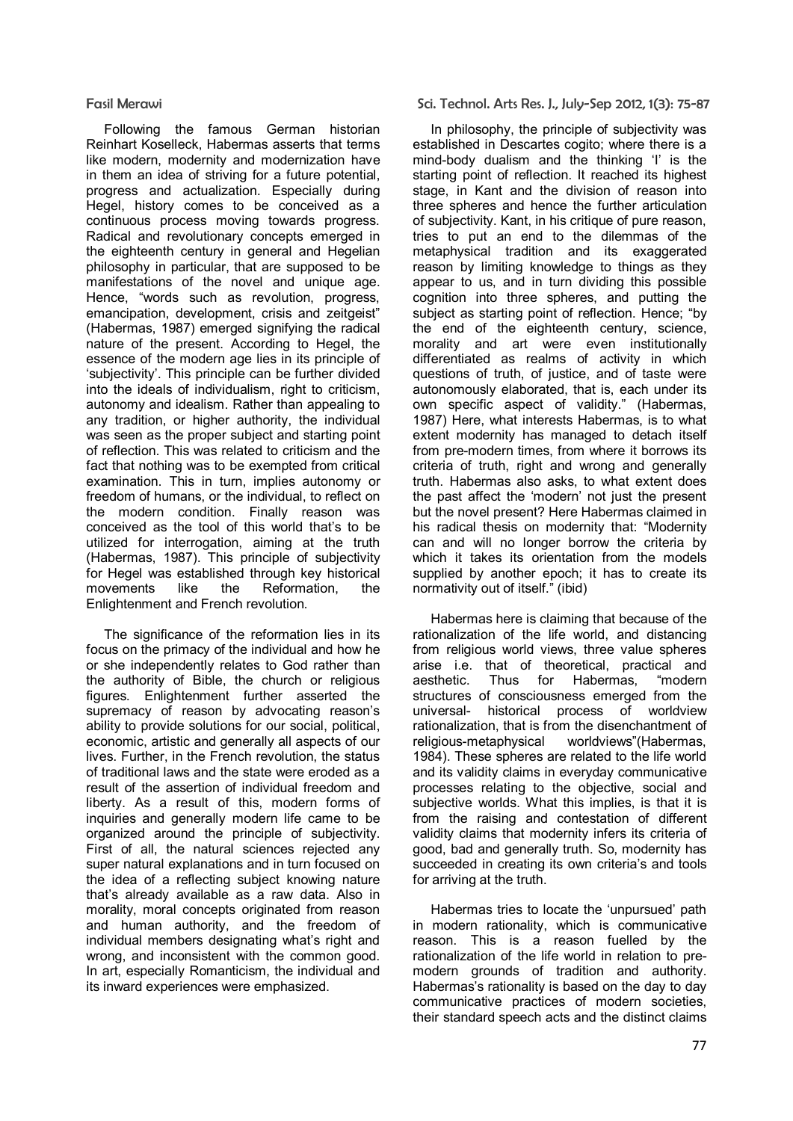Following the famous German historian Reinhart Koselleck, Habermas asserts that terms like modern, modernity and modernization have in them an idea of striving for a future potential, progress and actualization. Especially during Hegel, history comes to be conceived as a continuous process moving towards progress. Radical and revolutionary concepts emerged in the eighteenth century in general and Hegelian philosophy in particular, that are supposed to be manifestations of the novel and unique age. Hence, "words such as revolution, progress, emancipation, development, crisis and zeitgeist" (Habermas, 1987) emerged signifying the radical nature of the present. According to Hegel, the essence of the modern age lies in its principle of 'subjectivity'. This principle can be further divided into the ideals of individualism, right to criticism, autonomy and idealism. Rather than appealing to any tradition, or higher authority, the individual was seen as the proper subject and starting point of reflection. This was related to criticism and the fact that nothing was to be exempted from critical examination. This in turn, implies autonomy or freedom of humans, or the individual, to reflect on the modern condition. Finally reason was conceived as the tool of this world that's to be utilized for interrogation, aiming at the truth (Habermas, 1987). This principle of subjectivity for Hegel was established through key historical<br>movements like the Reformation, the movements like the Reformation, the Enlightenment and French revolution.

The significance of the reformation lies in its focus on the primacy of the individual and how he or she independently relates to God rather than the authority of Bible, the church or religious figures. Enlightenment further asserted the supremacy of reason by advocating reason's ability to provide solutions for our social, political, economic, artistic and generally all aspects of our lives. Further, in the French revolution, the status of traditional laws and the state were eroded as a result of the assertion of individual freedom and liberty. As a result of this, modern forms of inquiries and generally modern life came to be organized around the principle of subjectivity. First of all, the natural sciences rejected any super natural explanations and in turn focused on the idea of a reflecting subject knowing nature that's already available as a raw data. Also in morality, moral concepts originated from reason and human authority, and the freedom of individual members designating what's right and wrong, and inconsistent with the common good. In art, especially Romanticism, the individual and its inward experiences were emphasized.

### Fasil Merawi **Sci. Technol. Arts Res. J., July-Sep 2012**, 1(3): 75-87

In philosophy, the principle of subjectivity was established in Descartes cogito; where there is a mind-body dualism and the thinking 'I' is the starting point of reflection. It reached its highest stage, in Kant and the division of reason into three spheres and hence the further articulation of subjectivity. Kant, in his critique of pure reason, tries to put an end to the dilemmas of the metaphysical tradition and its exaggerated reason by limiting knowledge to things as they appear to us, and in turn dividing this possible cognition into three spheres, and putting the subject as starting point of reflection. Hence; "by the end of the eighteenth century, science, morality and art were even institutionally differentiated as realms of activity in which questions of truth, of justice, and of taste were autonomously elaborated, that is, each under its own specific aspect of validity." (Habermas, 1987) Here, what interests Habermas, is to what extent modernity has managed to detach itself from pre-modern times, from where it borrows its criteria of truth, right and wrong and generally truth. Habermas also asks, to what extent does the past affect the 'modern' not just the present but the novel present? Here Habermas claimed in his radical thesis on modernity that: "Modernity can and will no longer borrow the criteria by which it takes its orientation from the models supplied by another epoch; it has to create its normativity out of itself." (ibid)

Habermas here is claiming that because of the rationalization of the life world, and distancing from religious world views, three value spheres arise i.e. that of theoretical, practical and<br>aesthetic. Thus for Habermas. "modern Thus for Habermas, "modern structures of consciousness emerged from the universal- historical process of worldview rationalization, that is from the disenchantment of religious-metaphysical worldviews"(Habermas, 1984). These spheres are related to the life world and its validity claims in everyday communicative processes relating to the objective, social and subjective worlds. What this implies, is that it is from the raising and contestation of different validity claims that modernity infers its criteria of good, bad and generally truth. So, modernity has succeeded in creating its own criteria's and tools for arriving at the truth.

Habermas tries to locate the 'unpursued' path in modern rationality, which is communicative reason. This is a reason fuelled by the rationalization of the life world in relation to premodern grounds of tradition and authority. Habermas's rationality is based on the day to day communicative practices of modern societies, their standard speech acts and the distinct claims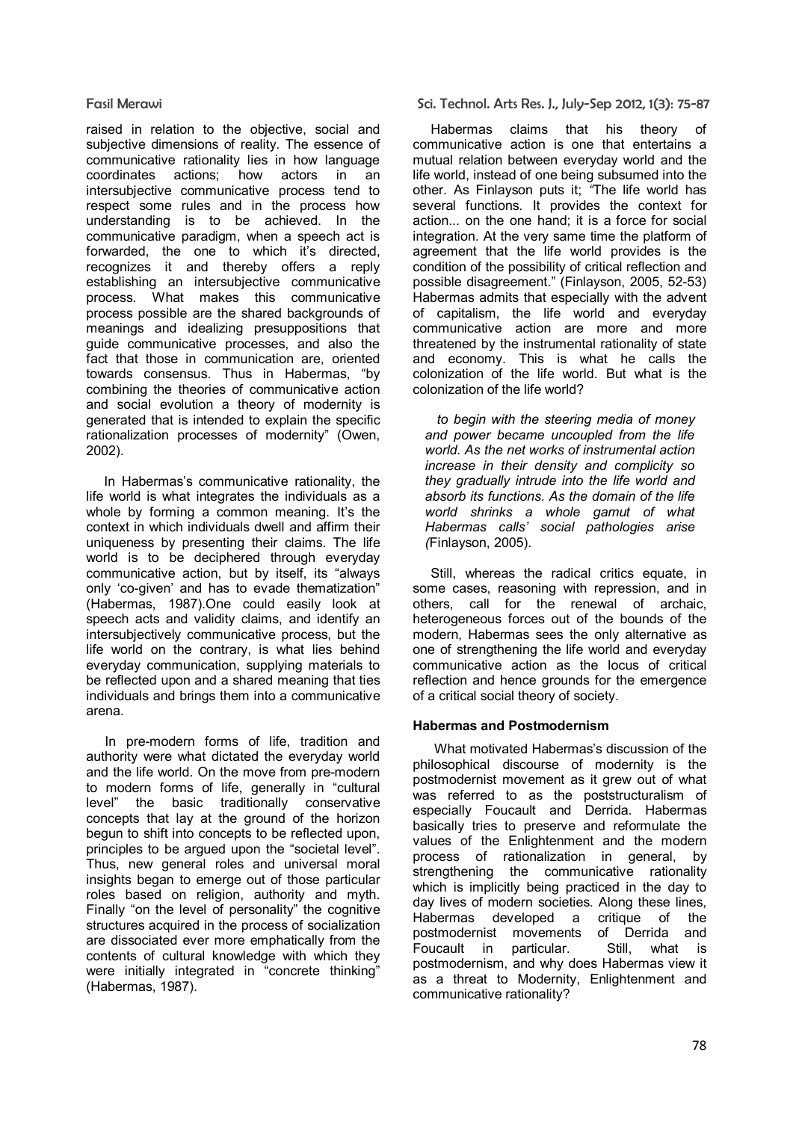raised in relation to the objective, social and subjective dimensions of reality. The essence of communicative rationality lies in how language coordinates actions; how actors in an intersubjective communicative process tend to respect some rules and in the process how understanding is to be achieved. In the communicative paradigm, when a speech act is forwarded, the one to which it's directed, recognizes it and thereby offers a reply establishing an intersubjective communicative process. What makes this communicative process possible are the shared backgrounds of meanings and idealizing presuppositions that guide communicative processes, and also the fact that those in communication are, oriented towards consensus. Thus in Habermas, "by combining the theories of communicative action and social evolution a theory of modernity is generated that is intended to explain the specific rationalization processes of modernity" (Owen, 2002).

In Habermas's communicative rationality, the life world is what integrates the individuals as a whole by forming a common meaning. It's the context in which individuals dwell and affirm their uniqueness by presenting their claims. The life world is to be deciphered through everyday communicative action, but by itself, its "always only 'co-given' and has to evade thematization" (Habermas, 1987).One could easily look at speech acts and validity claims, and identify an intersubjectively communicative process, but the life world on the contrary, is what lies behind everyday communication, supplying materials to be reflected upon and a shared meaning that ties individuals and brings them into a communicative arena.

 In pre-modern forms of life, tradition and authority were what dictated the everyday world and the life world. On the move from pre-modern to modern forms of life, generally in "cultural level" the basic traditionally conservative concepts that lay at the ground of the horizon begun to shift into concepts to be reflected upon, principles to be argued upon the "societal level". Thus, new general roles and universal moral insights began to emerge out of those particular roles based on religion, authority and myth. Finally "on the level of personality" the cognitive structures acquired in the process of socialization are dissociated ever more emphatically from the contents of cultural knowledge with which they were initially integrated in "concrete thinking" (Habermas, 1987).

Fasil Merawi **Sci. Technol. Arts Res. J., July-Sep 2012**, 1(3): 75-87

Habermas claims that his theory of communicative action is one that entertains a mutual relation between everyday world and the life world, instead of one being subsumed into the other. As Finlayson puts it; *"*The life world has several functions. It provides the context for action... on the one hand; it is a force for social integration. At the very same time the platform of agreement that the life world provides is the condition of the possibility of critical reflection and possible disagreement." (Finlayson, 2005, 52-53) Habermas admits that especially with the advent of capitalism, the life world and everyday communicative action are more and more threatened by the instrumental rationality of state and economy. This is what he calls the colonization of the life world. But what is the colonization of the life world?

*to begin with the steering media of money and power became uncoupled from the life world. As the net works of instrumental action increase in their density and complicity so they gradually intrude into the life world and absorb its functions. As the domain of the life world shrinks a whole gamut of what Habermas calls' social pathologies arise (*Finlayson, 2005).

Still, whereas the radical critics equate, in some cases, reasoning with repression, and in others, call for the renewal of archaic, heterogeneous forces out of the bounds of the modern, Habermas sees the only alternative as one of strengthening the life world and everyday communicative action as the locus of critical reflection and hence grounds for the emergence of a critical social theory of society.

### Habermas and Postmodernism

What motivated Habermas's discussion of the philosophical discourse of modernity is the postmodernist movement as it grew out of what was referred to as the poststructuralism of especially Foucault and Derrida. Habermas basically tries to preserve and reformulate the values of the Enlightenment and the modern process of rationalization in general, by strengthening the communicative rationality which is implicitly being practiced in the day to day lives of modern societies. Along these lines, Habermas developed a critique of the postmodernist movements of Derrida and Foucault in particular. Still, what is postmodernism, and why does Habermas view it as a threat to Modernity, Enlightenment and communicative rationality?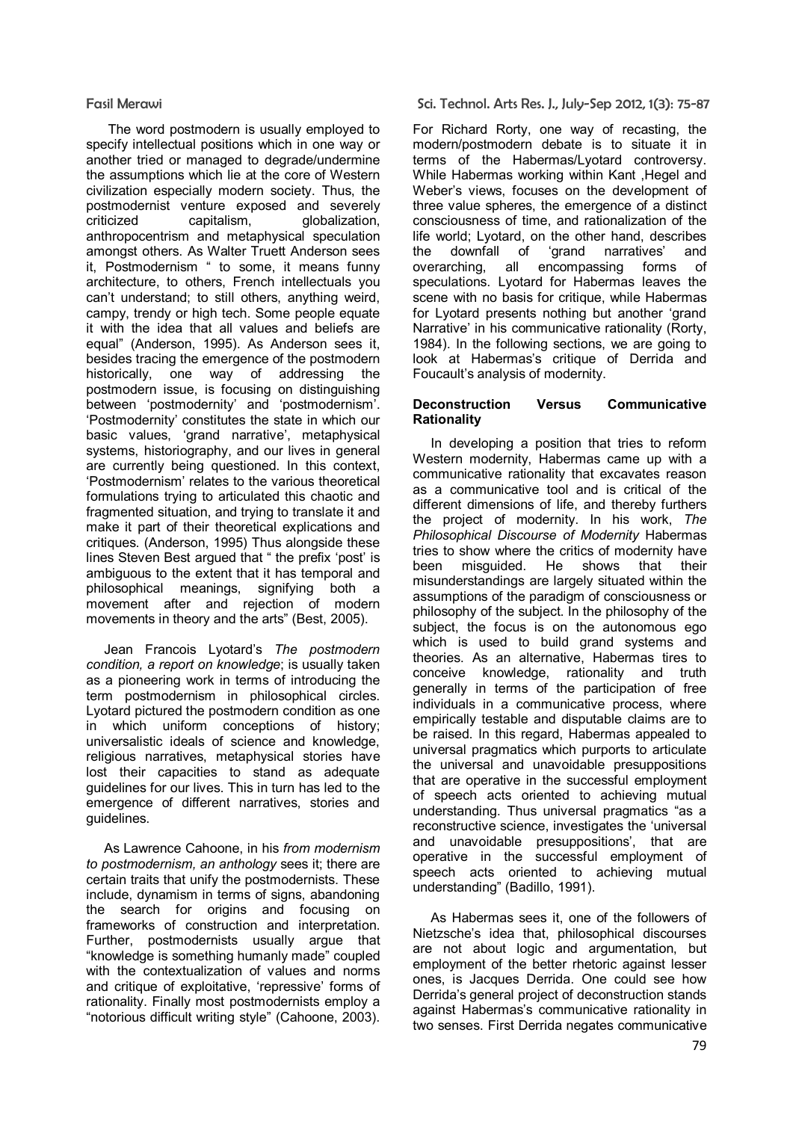The word postmodern is usually employed to specify intellectual positions which in one way or another tried or managed to degrade/undermine the assumptions which lie at the core of Western civilization especially modern society. Thus, the postmodernist venture exposed and severely criticized capitalism, globalization, anthropocentrism and metaphysical speculation amongst others. As Walter Truett Anderson sees it, Postmodernism " to some, it means funny architecture, to others, French intellectuals you can't understand; to still others, anything weird, campy, trendy or high tech. Some people equate it with the idea that all values and beliefs are equal" (Anderson, 1995). As Anderson sees it, besides tracing the emergence of the postmodern historically, one way of addressing the postmodern issue, is focusing on distinguishing between 'postmodernity' and 'postmodernism'. 'Postmodernity' constitutes the state in which our basic values, 'grand narrative', metaphysical systems, historiography, and our lives in general are currently being questioned. In this context, 'Postmodernism' relates to the various theoretical formulations trying to articulated this chaotic and fragmented situation, and trying to translate it and make it part of their theoretical explications and critiques. (Anderson, 1995) Thus alongside these lines Steven Best argued that " the prefix 'post' is ambiguous to the extent that it has temporal and philosophical meanings, signifying both a movement after and rejection of modern movements in theory and the arts" (Best, 2005).

Jean Francois Lyotard's *The postmodern condition, a report on knowledge*; is usually taken as a pioneering work in terms of introducing the term postmodernism in philosophical circles. Lyotard pictured the postmodern condition as one in which uniform conceptions of history; universalistic ideals of science and knowledge, religious narratives, metaphysical stories have lost their capacities to stand as adequate guidelines for our lives. This in turn has led to the emergence of different narratives, stories and guidelines.

As Lawrence Cahoone, in his *from modernism to postmodernism, an anthology* sees it; there are certain traits that unify the postmodernists. These include, dynamism in terms of signs, abandoning the search for origins and focusing on frameworks of construction and interpretation. Further, postmodernists usually argue that "knowledge is something humanly made" coupled with the contextualization of values and norms and critique of exploitative, 'repressive' forms of rationality. Finally most postmodernists employ a "notorious difficult writing style" (Cahoone, 2003).

### Fasil Merawi **Sci. Technol. Arts Res. J., July-Sep 2012**, 1(3): 75-87

For Richard Rorty, one way of recasting, the modern/postmodern debate is to situate it in terms of the Habermas/Lyotard controversy. While Habermas working within Kant ,Hegel and Weber's views, focuses on the development of three value spheres, the emergence of a distinct consciousness of time, and rationalization of the life world; Lyotard, on the other hand, describes the downfall of 'grand narratives' and overarching, all encompassing forms of speculations. Lyotard for Habermas leaves the scene with no basis for critique, while Habermas for Lyotard presents nothing but another 'grand Narrative' in his communicative rationality (Rorty, 1984). In the following sections, we are going to look at Habermas's critique of Derrida and Foucault's analysis of modernity.

### Deconstruction Versus Communicative **Rationality**

In developing a position that tries to reform Western modernity, Habermas came up with a communicative rationality that excavates reason as a communicative tool and is critical of the different dimensions of life, and thereby furthers the project of modernity. In his work, *The Philosophical Discourse of Modernity* Habermas tries to show where the critics of modernity have been misguided. He shows that their misunderstandings are largely situated within the assumptions of the paradigm of consciousness or philosophy of the subject. In the philosophy of the subject, the focus is on the autonomous ego which is used to build grand systems and theories. As an alternative, Habermas tires to conceive knowledge, rationality and truth generally in terms of the participation of free individuals in a communicative process, where empirically testable and disputable claims are to be raised. In this regard, Habermas appealed to universal pragmatics which purports to articulate the universal and unavoidable presuppositions that are operative in the successful employment of speech acts oriented to achieving mutual understanding. Thus universal pragmatics "as a reconstructive science, investigates the 'universal and unavoidable presuppositions', that are operative in the successful employment of speech acts oriented to achieving mutual understanding" (Badillo, 1991).

As Habermas sees it, one of the followers of Nietzsche's idea that, philosophical discourses are not about logic and argumentation, but employment of the better rhetoric against lesser ones, is Jacques Derrida. One could see how Derrida's general project of deconstruction stands against Habermas's communicative rationality in two senses. First Derrida negates communicative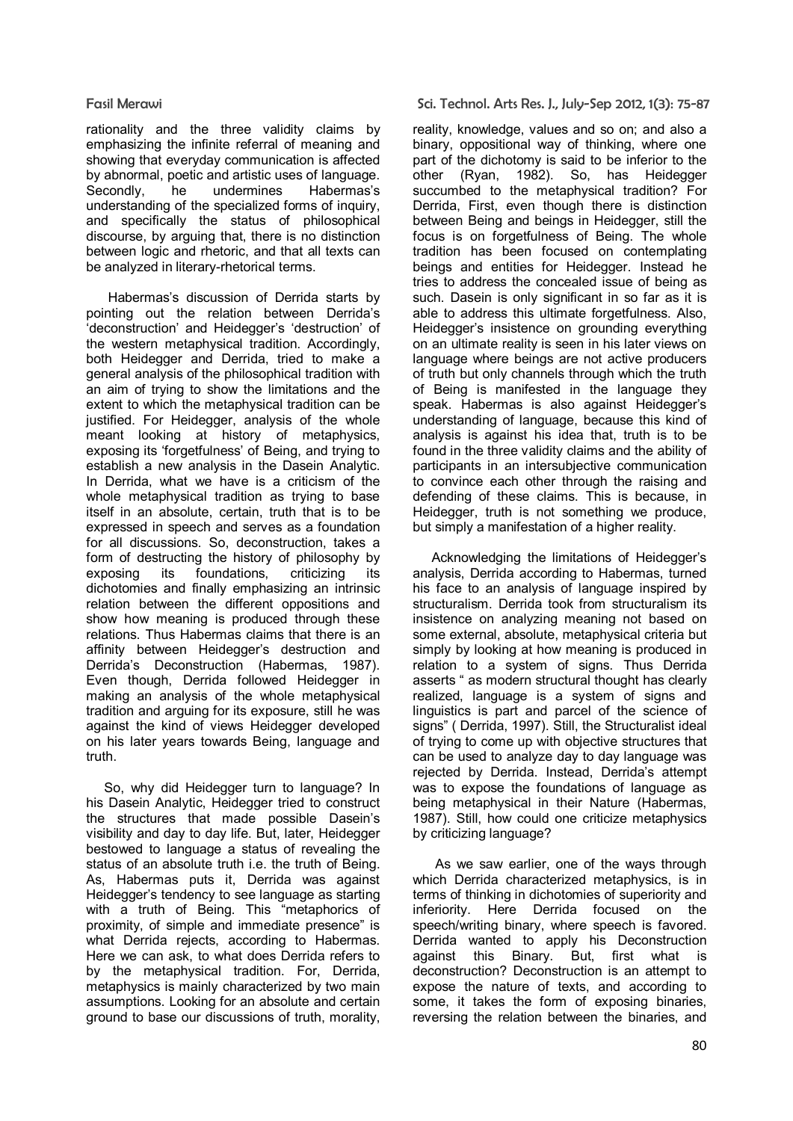rationality and the three validity claims by emphasizing the infinite referral of meaning and showing that everyday communication is affected by abnormal, poetic and artistic uses of language. Secondly, he undermines Habermas's understanding of the specialized forms of inquiry, and specifically the status of philosophical discourse, by arguing that, there is no distinction between logic and rhetoric, and that all texts can be analyzed in literary-rhetorical terms.

Habermas's discussion of Derrida starts by pointing out the relation between Derrida's 'deconstruction' and Heidegger's 'destruction' of the western metaphysical tradition. Accordingly, both Heidegger and Derrida, tried to make a general analysis of the philosophical tradition with an aim of trying to show the limitations and the extent to which the metaphysical tradition can be justified. For Heidegger, analysis of the whole meant looking at history of metaphysics, exposing its 'forgetfulness' of Being, and trying to establish a new analysis in the Dasein Analytic. In Derrida, what we have is a criticism of the whole metaphysical tradition as trying to base itself in an absolute, certain, truth that is to be expressed in speech and serves as a foundation for all discussions. So, deconstruction, takes a form of destructing the history of philosophy by exposing its foundations, criticizing its dichotomies and finally emphasizing an intrinsic relation between the different oppositions and show how meaning is produced through these relations. Thus Habermas claims that there is an affinity between Heidegger's destruction and Derrida's Deconstruction (Habermas, 1987). Even though, Derrida followed Heidegger in making an analysis of the whole metaphysical tradition and arguing for its exposure, still he was against the kind of views Heidegger developed on his later years towards Being, language and truth.

So, why did Heidegger turn to language? In his Dasein Analytic, Heidegger tried to construct the structures that made possible Dasein's visibility and day to day life. But, later, Heidegger bestowed to language a status of revealing the status of an absolute truth i.e. the truth of Being. As, Habermas puts it, Derrida was against Heidegger's tendency to see language as starting with a truth of Being. This "metaphorics of proximity, of simple and immediate presence" is what Derrida rejects, according to Habermas. Here we can ask, to what does Derrida refers to by the metaphysical tradition. For, Derrida, metaphysics is mainly characterized by two main assumptions. Looking for an absolute and certain ground to base our discussions of truth, morality,

### Fasil Merawi Sci. Technol. Arts Res. J., July-Sep 2012, 1(3): 75-87

reality, knowledge, values and so on; and also a binary, oppositional way of thinking, where one part of the dichotomy is said to be inferior to the other (Ryan, 1982). So, has Heidegger succumbed to the metaphysical tradition? For Derrida, First, even though there is distinction between Being and beings in Heidegger, still the focus is on forgetfulness of Being. The whole tradition has been focused on contemplating beings and entities for Heidegger. Instead he tries to address the concealed issue of being as such. Dasein is only significant in so far as it is able to address this ultimate forgetfulness. Also, Heidegger's insistence on grounding everything on an ultimate reality is seen in his later views on language where beings are not active producers of truth but only channels through which the truth of Being is manifested in the language they speak. Habermas is also against Heidegger's understanding of language, because this kind of analysis is against his idea that, truth is to be found in the three validity claims and the ability of participants in an intersubjective communication to convince each other through the raising and defending of these claims. This is because, in Heidegger, truth is not something we produce, but simply a manifestation of a higher reality.

 Acknowledging the limitations of Heidegger's analysis, Derrida according to Habermas, turned his face to an analysis of language inspired by structuralism. Derrida took from structuralism its insistence on analyzing meaning not based on some external, absolute, metaphysical criteria but simply by looking at how meaning is produced in relation to a system of signs. Thus Derrida asserts " as modern structural thought has clearly realized, language is a system of signs and linguistics is part and parcel of the science of signs" ( Derrida, 1997). Still, the Structuralist ideal of trying to come up with objective structures that can be used to analyze day to day language was rejected by Derrida. Instead, Derrida's attempt was to expose the foundations of language as being metaphysical in their Nature (Habermas, 1987). Still, how could one criticize metaphysics by criticizing language?

 As we saw earlier, one of the ways through which Derrida characterized metaphysics, is in terms of thinking in dichotomies of superiority and inferiority. Here Derrida focused on the speech/writing binary, where speech is favored. Derrida wanted to apply his Deconstruction against this Binary. But, first what is deconstruction? Deconstruction is an attempt to expose the nature of texts, and according to some, it takes the form of exposing binaries, reversing the relation between the binaries, and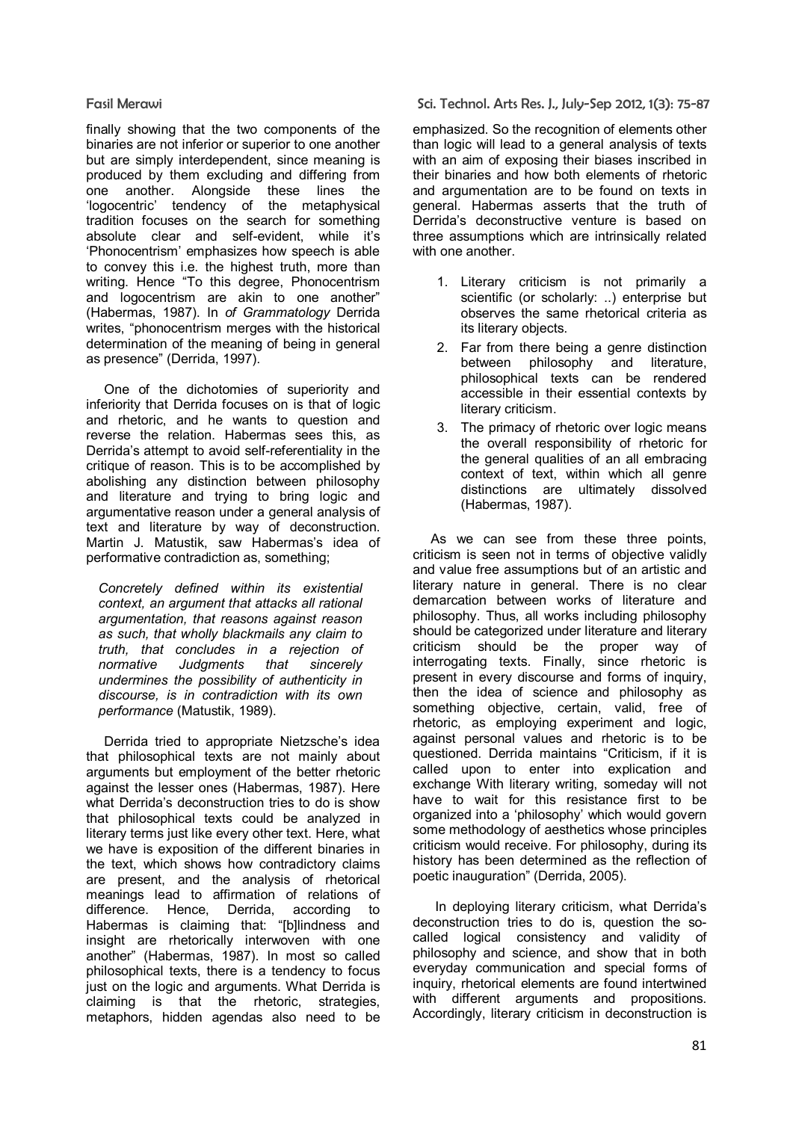finally showing that the two components of the binaries are not inferior or superior to one another but are simply interdependent, since meaning is produced by them excluding and differing from one another. Alongside these lines the 'logocentric' tendency of the metaphysical tradition focuses on the search for something absolute clear and self-evident, while it's 'Phonocentrism' emphasizes how speech is able to convey this i.e. the highest truth, more than writing. Hence "To this degree, Phonocentrism and logocentrism are akin to one another" (Habermas, 1987). In *of Grammatology* Derrida writes, "phonocentrism merges with the historical determination of the meaning of being in general as presence" (Derrida, 1997).

One of the dichotomies of superiority and inferiority that Derrida focuses on is that of logic and rhetoric, and he wants to question and reverse the relation. Habermas sees this, as Derrida's attempt to avoid self-referentiality in the critique of reason. This is to be accomplished by abolishing any distinction between philosophy and literature and trying to bring logic and argumentative reason under a general analysis of text and literature by way of deconstruction. Martin J. Matustik, saw Habermas's idea of performative contradiction as, something;

*Concretely defined within its existential context, an argument that attacks all rational argumentation, that reasons against reason as such, that wholly blackmails any claim to truth, that concludes in a rejection of normative Judgments that sincerely undermines the possibility of authenticity in discourse, is in contradiction with its own performance* (Matustik, 1989).

Derrida tried to appropriate Nietzsche's idea that philosophical texts are not mainly about arguments but employment of the better rhetoric against the lesser ones (Habermas, 1987). Here what Derrida's deconstruction tries to do is show that philosophical texts could be analyzed in literary terms just like every other text. Here, what we have is exposition of the different binaries in the text, which shows how contradictory claims are present, and the analysis of rhetorical meanings lead to affirmation of relations of difference. Hence, Derrida, according to Habermas is claiming that: "[b]lindness and insight are rhetorically interwoven with one another" (Habermas, 1987). In most so called philosophical texts, there is a tendency to focus just on the logic and arguments. What Derrida is claiming is that the rhetoric, strategies, metaphors, hidden agendas also need to be

Fasil Merawi **Sci. Technol. Arts Res. J., July-Sep 2012**, 1(3): 75-87

emphasized. So the recognition of elements other than logic will lead to a general analysis of texts with an aim of exposing their biases inscribed in their binaries and how both elements of rhetoric and argumentation are to be found on texts in general. Habermas asserts that the truth of Derrida's deconstructive venture is based on three assumptions which are intrinsically related with one another.

- 1. Literary criticism is not primarily a scientific (or scholarly: ..) enterprise but observes the same rhetorical criteria as its literary objects.
- 2. Far from there being a genre distinction between philosophy and literature, philosophical texts can be rendered accessible in their essential contexts by literary criticism.
- 3. The primacy of rhetoric over logic means the overall responsibility of rhetoric for the general qualities of an all embracing context of text, within which all genre distinctions are ultimately dissolved (Habermas, 1987).

As we can see from these three points, criticism is seen not in terms of objective validly and value free assumptions but of an artistic and literary nature in general. There is no clear demarcation between works of literature and philosophy. Thus, all works including philosophy should be categorized under literature and literary criticism should be the proper way of interrogating texts. Finally, since rhetoric is present in every discourse and forms of inquiry, then the idea of science and philosophy as something objective, certain, valid, free of rhetoric, as employing experiment and logic, against personal values and rhetoric is to be questioned. Derrida maintains "Criticism, if it is called upon to enter into explication and exchange With literary writing, someday will not have to wait for this resistance first to be organized into a 'philosophy' which would govern some methodology of aesthetics whose principles criticism would receive. For philosophy, during its history has been determined as the reflection of poetic inauguration" (Derrida, 2005).

 In deploying literary criticism, what Derrida's deconstruction tries to do is, question the socalled logical consistency and validity of philosophy and science, and show that in both everyday communication and special forms of inquiry, rhetorical elements are found intertwined with different arguments and propositions. Accordingly, literary criticism in deconstruction is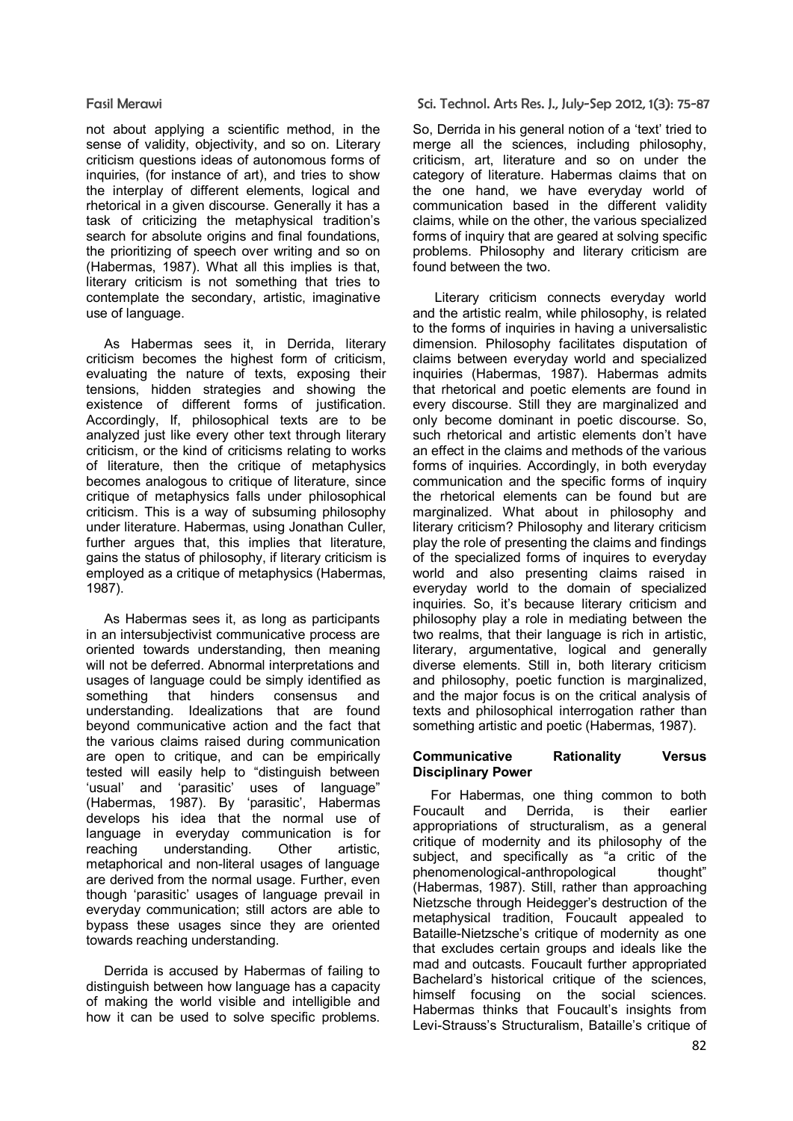not about applying a scientific method, in the sense of validity, objectivity, and so on. Literary criticism questions ideas of autonomous forms of inquiries, (for instance of art), and tries to show the interplay of different elements, logical and rhetorical in a given discourse. Generally it has a task of criticizing the metaphysical tradition's search for absolute origins and final foundations. the prioritizing of speech over writing and so on (Habermas, 1987). What all this implies is that, literary criticism is not something that tries to contemplate the secondary, artistic, imaginative use of language.

As Habermas sees it, in Derrida, literary criticism becomes the highest form of criticism, evaluating the nature of texts, exposing their tensions, hidden strategies and showing the existence of different forms of justification. Accordingly, If, philosophical texts are to be analyzed just like every other text through literary criticism, or the kind of criticisms relating to works of literature, then the critique of metaphysics becomes analogous to critique of literature, since critique of metaphysics falls under philosophical criticism. This is a way of subsuming philosophy under literature. Habermas, using Jonathan Culler, further argues that, this implies that literature, gains the status of philosophy, if literary criticism is employed as a critique of metaphysics (Habermas, 1987).

As Habermas sees it, as long as participants in an intersubjectivist communicative process are oriented towards understanding, then meaning will not be deferred. Abnormal interpretations and usages of language could be simply identified as<br>something that hinders consensus and something that hinders consensus and understanding. Idealizations that are found beyond communicative action and the fact that the various claims raised during communication are open to critique, and can be empirically tested will easily help to "distinguish between 'usual' and 'parasitic' uses of language" (Habermas, 1987). By 'parasitic', Habermas develops his idea that the normal use of language in everyday communication is for reaching understanding. Other artistic, metaphorical and non-literal usages of language are derived from the normal usage. Further, even though 'parasitic' usages of language prevail in everyday communication; still actors are able to bypass these usages since they are oriented towards reaching understanding.

Derrida is accused by Habermas of failing to distinguish between how language has a capacity of making the world visible and intelligible and how it can be used to solve specific problems.

### Fasil Merawi **Sci. Technol. Arts Res. J., July-Sep 2012**, 1(3): 75-87

So, Derrida in his general notion of a 'text' tried to merge all the sciences, including philosophy, criticism, art, literature and so on under the category of literature. Habermas claims that on the one hand, we have everyday world of communication based in the different validity claims, while on the other, the various specialized forms of inquiry that are geared at solving specific problems. Philosophy and literary criticism are found between the two.

Literary criticism connects everyday world and the artistic realm, while philosophy, is related to the forms of inquiries in having a universalistic dimension. Philosophy facilitates disputation of claims between everyday world and specialized inquiries (Habermas, 1987). Habermas admits that rhetorical and poetic elements are found in every discourse. Still they are marginalized and only become dominant in poetic discourse. So, such rhetorical and artistic elements don't have an effect in the claims and methods of the various forms of inquiries. Accordingly, in both everyday communication and the specific forms of inquiry the rhetorical elements can be found but are marginalized. What about in philosophy and literary criticism? Philosophy and literary criticism play the role of presenting the claims and findings of the specialized forms of inquires to everyday world and also presenting claims raised in everyday world to the domain of specialized inquiries. So, it's because literary criticism and philosophy play a role in mediating between the two realms, that their language is rich in artistic, literary, argumentative, logical and generally diverse elements. Still in, both literary criticism and philosophy, poetic function is marginalized, and the major focus is on the critical analysis of texts and philosophical interrogation rather than something artistic and poetic (Habermas, 1987).

### Communicative Rationality Versus Disciplinary Power

For Habermas, one thing common to both Foucault and Derrida, is their earlier appropriations of structuralism, as a general critique of modernity and its philosophy of the subject, and specifically as "a critic of the phenomenological-anthropological thought" phenomenological-anthropological (Habermas, 1987). Still, rather than approaching Nietzsche through Heidegger's destruction of the metaphysical tradition, Foucault appealed to Bataille-Nietzsche's critique of modernity as one that excludes certain groups and ideals like the mad and outcasts. Foucault further appropriated Bachelard's historical critique of the sciences, himself focusing on the social sciences. Habermas thinks that Foucault's insights from Levi-Strauss's Structuralism, Bataille's critique of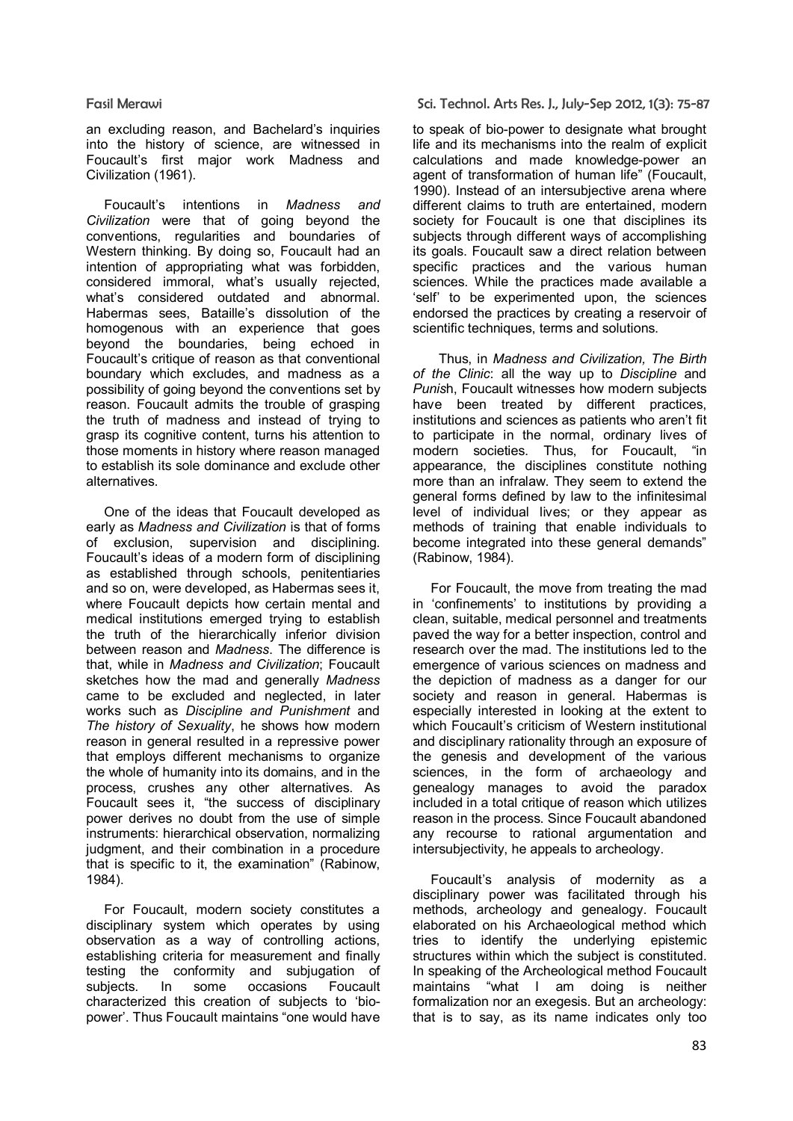an excluding reason, and Bachelard's inquiries into the history of science, are witnessed in Foucault's first major work Madness and Civilization (1961).

Foucault's intentions in *Madness and Civilization* were that of going beyond the conventions, regularities and boundaries of Western thinking. By doing so, Foucault had an intention of appropriating what was forbidden, considered immoral, what's usually rejected, what's considered outdated and abnormal. Habermas sees, Bataille's dissolution of the homogenous with an experience that goes beyond the boundaries, being echoed in Foucault's critique of reason as that conventional boundary which excludes, and madness as a possibility of going beyond the conventions set by reason. Foucault admits the trouble of grasping the truth of madness and instead of trying to grasp its cognitive content, turns his attention to those moments in history where reason managed to establish its sole dominance and exclude other alternatives.

One of the ideas that Foucault developed as early as *Madness and Civilization* is that of forms of exclusion, supervision and disciplining. Foucault's ideas of a modern form of disciplining as established through schools, penitentiaries and so on, were developed, as Habermas sees it, where Foucault depicts how certain mental and medical institutions emerged trying to establish the truth of the hierarchically inferior division between reason and *Madness*. The difference is that, while in *Madness and Civilization*; Foucault sketches how the mad and generally *Madness*  came to be excluded and neglected, in later works such as *Discipline and Punishment* and *The history of Sexuality*, he shows how modern reason in general resulted in a repressive power that employs different mechanisms to organize the whole of humanity into its domains, and in the process, crushes any other alternatives. As Foucault sees it, "the success of disciplinary power derives no doubt from the use of simple instruments: hierarchical observation, normalizing judgment, and their combination in a procedure that is specific to it, the examination" (Rabinow, 1984).

For Foucault, modern society constitutes a disciplinary system which operates by using observation as a way of controlling actions, establishing criteria for measurement and finally testing the conformity and subjugation of subjects. In some occasions Foucault characterized this creation of subjects to 'biopower'. Thus Foucault maintains "one would have

### Fasil Merawi **Sci. Technol. Arts Res. J., July-Sep 2012**, 1(3): 75-87

to speak of bio-power to designate what brought life and its mechanisms into the realm of explicit calculations and made knowledge-power an agent of transformation of human life" (Foucault, 1990). Instead of an intersubjective arena where different claims to truth are entertained, modern society for Foucault is one that disciplines its subjects through different ways of accomplishing its goals. Foucault saw a direct relation between specific practices and the various human sciences. While the practices made available a 'self' to be experimented upon, the sciences endorsed the practices by creating a reservoir of scientific techniques, terms and solutions.

 Thus, in *Madness and Civilization, The Birth of the Clinic*: all the way up to *Discipline* and *Punis*h, Foucault witnesses how modern subjects have been treated by different practices, institutions and sciences as patients who aren't fit to participate in the normal, ordinary lives of modern societies. Thus, for Foucault, "in appearance, the disciplines constitute nothing more than an infralaw. They seem to extend the general forms defined by law to the infinitesimal level of individual lives; or they appear as methods of training that enable individuals to become integrated into these general demands" (Rabinow, 1984).

For Foucault, the move from treating the mad in 'confinements' to institutions by providing a clean, suitable, medical personnel and treatments paved the way for a better inspection, control and research over the mad. The institutions led to the emergence of various sciences on madness and the depiction of madness as a danger for our society and reason in general. Habermas is especially interested in looking at the extent to which Foucault's criticism of Western institutional and disciplinary rationality through an exposure of the genesis and development of the various sciences, in the form of archaeology and genealogy manages to avoid the paradox included in a total critique of reason which utilizes reason in the process. Since Foucault abandoned any recourse to rational argumentation and intersubjectivity, he appeals to archeology.

Foucault's analysis of modernity as a disciplinary power was facilitated through his methods, archeology and genealogy. Foucault elaborated on his Archaeological method which tries to identify the underlying epistemic structures within which the subject is constituted. In speaking of the Archeological method Foucault maintains "what I am doing is neither formalization nor an exegesis. But an archeology: that is to say, as its name indicates only too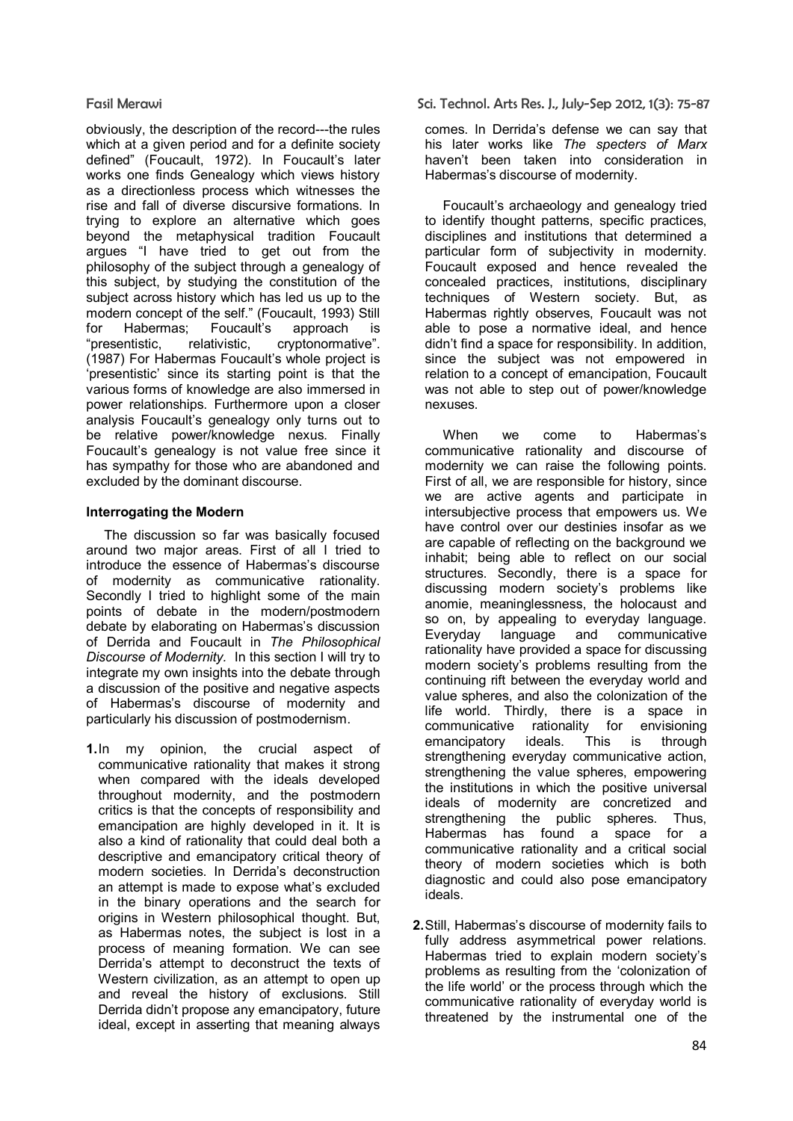obviously, the description of the record---the rules which at a given period and for a definite society defined" (Foucault, 1972). In Foucault's later works one finds Genealogy which views history as a directionless process which witnesses the rise and fall of diverse discursive formations. In trying to explore an alternative which goes beyond the metaphysical tradition Foucault argues "I have tried to get out from the philosophy of the subject through a genealogy of this subject, by studying the constitution of the subject across history which has led us up to the modern concept of the self." (Foucault, 1993) Still for Habermas; Foucault's approach is "presentistic, relativistic, cryptonormative". (1987) For Habermas Foucault's whole project is 'presentistic' since its starting point is that the various forms of knowledge are also immersed in power relationships. Furthermore upon a closer analysis Foucault's genealogy only turns out to be relative power/knowledge nexus. Finally Foucault's genealogy is not value free since it has sympathy for those who are abandoned and excluded by the dominant discourse.

### Interrogating the Modern

The discussion so far was basically focused around two major areas. First of all I tried to introduce the essence of Habermas's discourse of modernity as communicative rationality. Secondly I tried to highlight some of the main points of debate in the modern/postmodern debate by elaborating on Habermas's discussion of Derrida and Foucault in *The Philosophical Discourse of Modernity.* In this section I will try to integrate my own insights into the debate through a discussion of the positive and negative aspects of Habermas's discourse of modernity and particularly his discussion of postmodernism.

1.In my opinion, the crucial aspect of communicative rationality that makes it strong when compared with the ideals developed throughout modernity, and the postmodern critics is that the concepts of responsibility and emancipation are highly developed in it. It is also a kind of rationality that could deal both a descriptive and emancipatory critical theory of modern societies. In Derrida's deconstruction an attempt is made to expose what's excluded in the binary operations and the search for origins in Western philosophical thought. But, as Habermas notes, the subject is lost in a process of meaning formation. We can see Derrida's attempt to deconstruct the texts of Western civilization, as an attempt to open up and reveal the history of exclusions. Still Derrida didn't propose any emancipatory, future ideal, except in asserting that meaning always

Fasil Merawi **Sci. Technol. Arts Res. J., July-Sep 2012**, 1(3): 75-87

comes. In Derrida's defense we can say that his later works like *The specters of Marx*  haven't been taken into consideration in Habermas's discourse of modernity.

Foucault's archaeology and genealogy tried to identify thought patterns, specific practices, disciplines and institutions that determined a particular form of subjectivity in modernity. Foucault exposed and hence revealed the concealed practices, institutions, disciplinary techniques of Western society. But, as Habermas rightly observes, Foucault was not able to pose a normative ideal, and hence didn't find a space for responsibility. In addition, since the subject was not empowered in relation to a concept of emancipation, Foucault was not able to step out of power/knowledge nexuses.

When we come to Habermas's communicative rationality and discourse of modernity we can raise the following points. First of all, we are responsible for history, since we are active agents and participate in intersubjective process that empowers us. We have control over our destinies insofar as we are capable of reflecting on the background we inhabit; being able to reflect on our social structures. Secondly, there is a space for discussing modern society's problems like anomie, meaninglessness, the holocaust and so on, by appealing to everyday language. Everyday language and communicative rationality have provided a space for discussing modern society's problems resulting from the continuing rift between the everyday world and value spheres, and also the colonization of the life world. Thirdly, there is a space in communicative rationality for envisioning communicative rationality emancipatory ideals. This is through strengthening everyday communicative action, strengthening the value spheres, empowering the institutions in which the positive universal ideals of modernity are concretized and strengthening the public spheres. Thus, Habermas has found a space for a communicative rationality and a critical social theory of modern societies which is both diagnostic and could also pose emancipatory ideals.

2.Still, Habermas's discourse of modernity fails to fully address asymmetrical power relations. Habermas tried to explain modern society's problems as resulting from the 'colonization of the life world' or the process through which the communicative rationality of everyday world is threatened by the instrumental one of the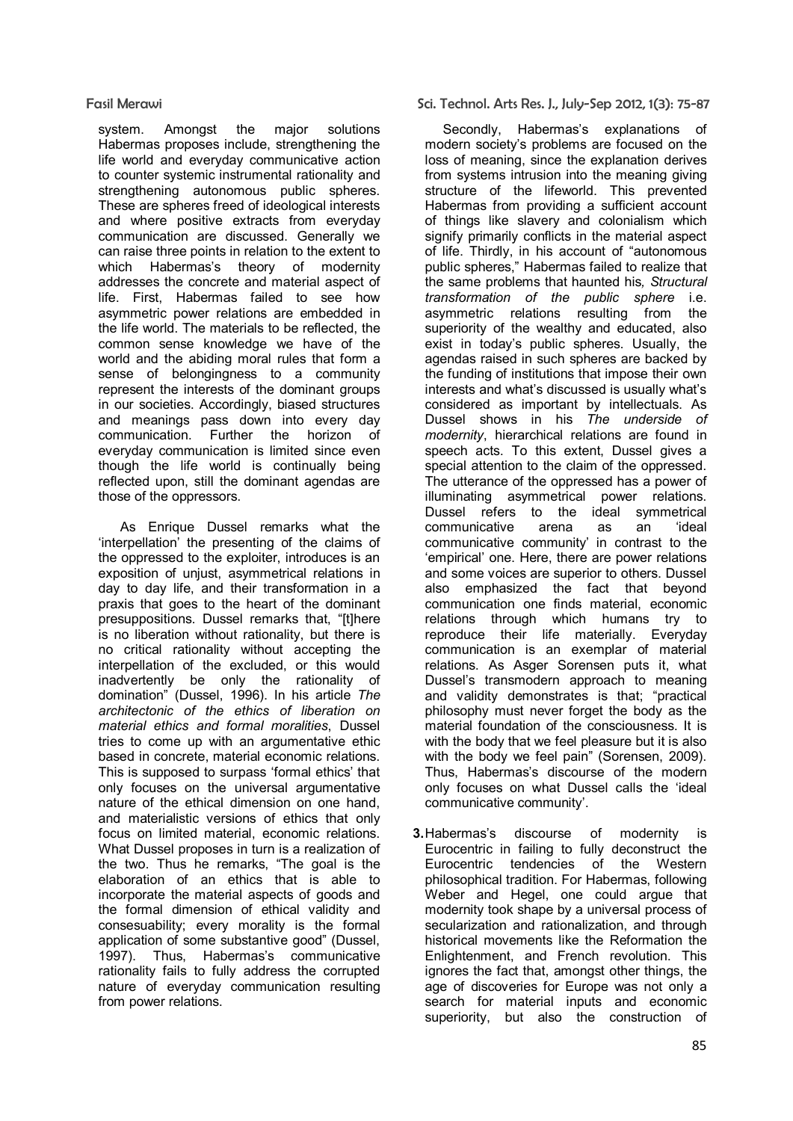system. Amongst the major solutions Habermas proposes include, strengthening the life world and everyday communicative action to counter systemic instrumental rationality and strengthening autonomous public spheres. These are spheres freed of ideological interests and where positive extracts from everyday communication are discussed. Generally we can raise three points in relation to the extent to which Habermas's theory of modernity addresses the concrete and material aspect of life. First, Habermas failed to see how asymmetric power relations are embedded in the life world. The materials to be reflected, the common sense knowledge we have of the world and the abiding moral rules that form a sense of belongingness to a community represent the interests of the dominant groups in our societies. Accordingly, biased structures and meanings pass down into every day communication. Further the horizon of everyday communication is limited since even though the life world is continually being reflected upon, still the dominant agendas are those of the oppressors.

As Enrique Dussel remarks what the 'interpellation' the presenting of the claims of the oppressed to the exploiter, introduces is an exposition of unjust, asymmetrical relations in day to day life, and their transformation in a praxis that goes to the heart of the dominant presuppositions. Dussel remarks that, "[t]here is no liberation without rationality, but there is no critical rationality without accepting the interpellation of the excluded, or this would inadvertently be only the rationality of domination" (Dussel, 1996). In his article *The architectonic of the ethics of liberation on material ethics and formal moralities*, Dussel tries to come up with an argumentative ethic based in concrete, material economic relations. This is supposed to surpass 'formal ethics' that only focuses on the universal argumentative nature of the ethical dimension on one hand, and materialistic versions of ethics that only focus on limited material, economic relations. What Dussel proposes in turn is a realization of the two. Thus he remarks, "The goal is the elaboration of an ethics that is able to incorporate the material aspects of goods and the formal dimension of ethical validity and consesuability; every morality is the formal application of some substantive good" (Dussel, 1997). Thus, Habermas's communicative rationality fails to fully address the corrupted nature of everyday communication resulting from power relations.

### Fasil Merawi Sci. Technol. Arts Res. J., July-Sep 2012, 1(3): 75-87

Secondly, Habermas's explanations of modern society's problems are focused on the loss of meaning, since the explanation derives from systems intrusion into the meaning giving structure of the lifeworld. This prevented Habermas from providing a sufficient account of things like slavery and colonialism which signify primarily conflicts in the material aspect of life. Thirdly, in his account of "autonomous public spheres," Habermas failed to realize that the same problems that haunted his*, Structural transformation of the public sphere* i.e. asymmetric relations resulting from the superiority of the wealthy and educated, also exist in today's public spheres. Usually, the agendas raised in such spheres are backed by the funding of institutions that impose their own interests and what's discussed is usually what's considered as important by intellectuals. As Dussel shows in his *The underside of modernity*, hierarchical relations are found in speech acts. To this extent, Dussel gives a special attention to the claim of the oppressed. The utterance of the oppressed has a power of illuminating asymmetrical power relations. Dussel refers to the ideal symmetrical communicative arena as an 'ideal communicative community' in contrast to the 'empirical' one. Here, there are power relations and some voices are superior to others. Dussel also emphasized the fact that beyond communication one finds material, economic relations through which humans try to reproduce their life materially. Everyday communication is an exemplar of material relations. As Asger Sorensen puts it, what Dussel's transmodern approach to meaning and validity demonstrates is that; "practical philosophy must never forget the body as the material foundation of the consciousness. It is with the body that we feel pleasure but it is also with the body we feel pain" (Sorensen, 2009). Thus, Habermas's discourse of the modern only focuses on what Dussel calls the 'ideal communicative community'.

3.Habermas's discourse of modernity is Eurocentric in failing to fully deconstruct the Eurocentric tendencies of the Western philosophical tradition. For Habermas, following Weber and Hegel, one could argue that modernity took shape by a universal process of secularization and rationalization, and through historical movements like the Reformation the Enlightenment, and French revolution. This ignores the fact that, amongst other things, the age of discoveries for Europe was not only a search for material inputs and economic superiority, but also the construction of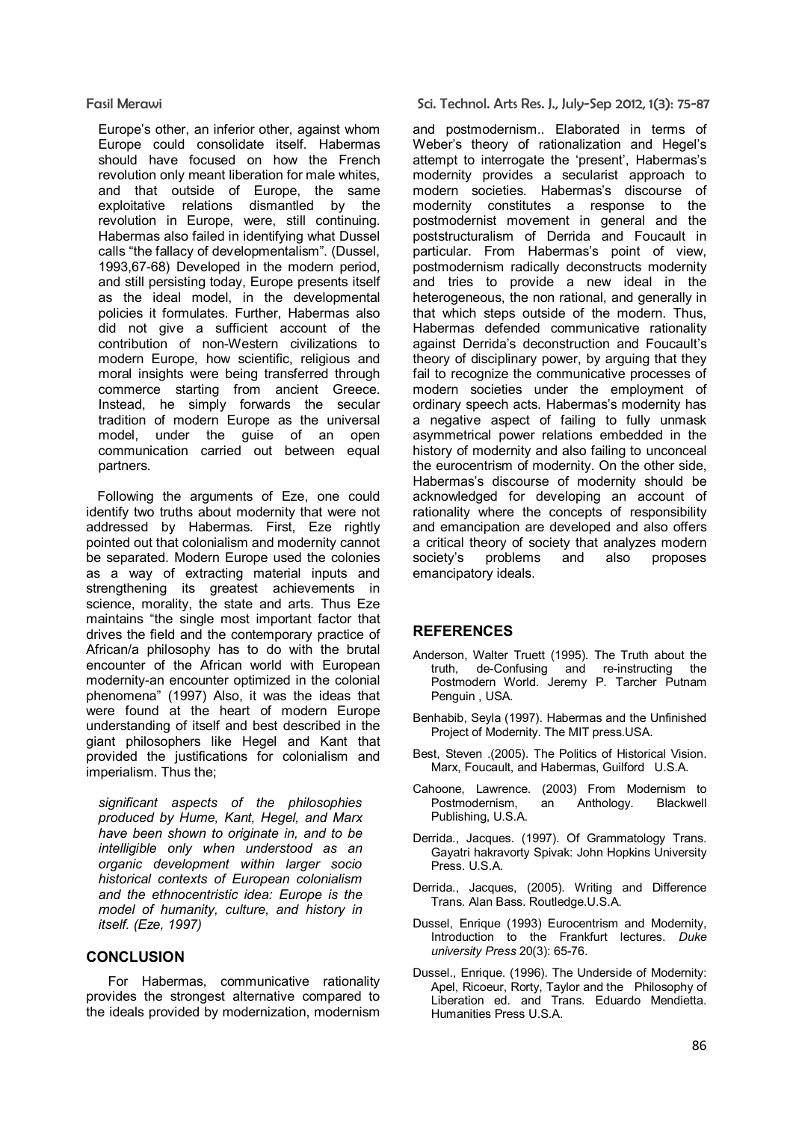Europe's other, an inferior other, against whom Europe could consolidate itself. Habermas should have focused on how the French revolution only meant liberation for male whites, and that outside of Europe, the same exploitative relations dismantled by the revolution in Europe, were, still continuing. Habermas also failed in identifying what Dussel calls "the fallacy of developmentalism". (Dussel, 1993,67-68) Developed in the modern period, and still persisting today, Europe presents itself as the ideal model, in the developmental policies it formulates. Further, Habermas also did not give a sufficient account of the contribution of non-Western civilizations to modern Europe, how scientific, religious and moral insights were being transferred through commerce starting from ancient Greece. Instead, he simply forwards the secular tradition of modern Europe as the universal model, under the guise of an open communication carried out between equal partners.

 Following the arguments of Eze, one could identify two truths about modernity that were not addressed by Habermas. First, Eze rightly pointed out that colonialism and modernity cannot be separated. Modern Europe used the colonies as a way of extracting material inputs and strengthening its greatest achievements in science, morality, the state and arts. Thus Eze maintains "the single most important factor that drives the field and the contemporary practice of African/a philosophy has to do with the brutal encounter of the African world with European modernity-an encounter optimized in the colonial phenomena" (1997) Also, it was the ideas that were found at the heart of modern Europe understanding of itself and best described in the giant philosophers like Hegel and Kant that provided the justifications for colonialism and imperialism. Thus the;

*significant aspects of the philosophies produced by Hume, Kant, Hegel, and Marx have been shown to originate in, and to be intelligible only when understood as an organic development within larger socio historical contexts of European colonialism and the ethnocentristic idea: Europe is the model of humanity, culture, and history in itself. (Eze, 1997)*

### **CONCLUSION**

For Habermas, communicative rationality provides the strongest alternative compared to the ideals provided by modernization, modernism

### Fasil Merawi **Sci. Technol. Arts Res. J., July-Sep 2012**, 1(3): 75-87

and postmodernism.. Elaborated in terms of Weber's theory of rationalization and Hegel's attempt to interrogate the 'present', Habermas's modernity provides a secularist approach to modern societies. Habermas's discourse of modernity constitutes a response to the postmodernist movement in general and the poststructuralism of Derrida and Foucault in particular. From Habermas's point of view, postmodernism radically deconstructs modernity and tries to provide a new ideal in the heterogeneous, the non rational, and generally in that which steps outside of the modern. Thus, Habermas defended communicative rationality against Derrida's deconstruction and Foucault's theory of disciplinary power, by arguing that they fail to recognize the communicative processes of modern societies under the employment of ordinary speech acts. Habermas's modernity has a negative aspect of failing to fully unmask asymmetrical power relations embedded in the history of modernity and also failing to unconceal the eurocentrism of modernity. On the other side, Habermas's discourse of modernity should be acknowledged for developing an account of rationality where the concepts of responsibility and emancipation are developed and also offers a critical theory of society that analyzes modern society's problems and also proposes emancipatory ideals.

# REFERENCES

- Anderson, Walter Truett (1995). The Truth about the truth, de-Confusing and re-instructing the Postmodern World. Jeremy P. Tarcher Putnam Penguin , USA.
- Benhabib, Seyla (1997). Habermas and the Unfinished Project of Modernity. The MIT press.USA.
- Best, Steven .(2005). The Politics of Historical Vision. Marx, Foucault, and Habermas, Guilford U.S.A.
- Cahoone, Lawrence. (2003) From Modernism to Postmodernism, an Anthology. Blackwell Publishing, U.S.A.
- Derrida., Jacques. (1997). Of Grammatology Trans. Gayatri hakravorty Spivak: John Hopkins University Press. U.S.A.
- Derrida., Jacques, (2005). Writing and Difference Trans. Alan Bass. Routledge.U.S.A.
- Dussel, Enrique (1993) Eurocentrism and Modernity, Introduction to the Frankfurt lectures. *Duke university Press* 20(3): 65-76.
- Dussel., Enrique. (1996). The Underside of Modernity: Apel, Ricoeur, Rorty, Taylor and the Philosophy of Liberation ed. and Trans. Eduardo Mendietta. Humanities Press U.S.A.